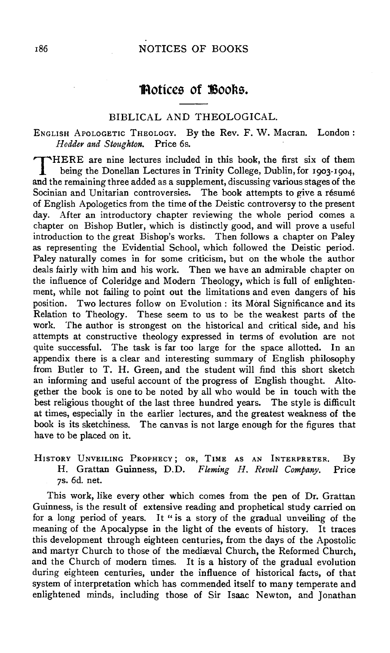# **Protices of Books.**

### BIBLICAL AND THEOLOGICAL.

# ENGLISH APoLOGETIC THEOLOGY. By the Rev. F. W. Macran. London: *Hodder and Stoughton.* Price 6s.

T HERE are nine lectures included in this book, the first six of them being the Donellan Lectures in Trinity College, Dublin, for 1903-1904, and the remaining three added as a supplement, discussing various stages of the Socinian and Unitarian controversies. The book attempts to give a résumé of English Apologetics from the time of the Deistic controversy to the present day. After an introductory chapter reviewing the whole period comes a chapter on Bishop Butler, which is distinctly good, and will prove a useful introduction to the great Bishop's works. Then follows a chapter on Paley as representing the Evidential School, which followed the Deistic period. Paley naturally comes in for some criticism, but on the whole the author deals fairly with him and his work. Then we have an admirable chapter on the influence of Coleridge and Modern Theology, which is full of enlightenment, while not failing to point out the limitations and even dangers of his position. Two lectures follow on Evolution : its Moral Significance and its Relation to Theology. These seem to us to be the weakest parts of the work. The author is strongest on the historical and critical side, and his attempts at constructive theology expressed in terms of evolution are not quite successful. The task is far too large for the space allotted. In an appendix there is a clear and interesting summary of English philosophy from Butler to T. H. Green, and the student will find this short sketch an informing and useful account of the progress of English thought. Altogether the book is one to be noted by all who would be in touch with the best religious thought of the last three hundred years. The style is difficult at times, especially in the earlier lectures, and the greatest weakness of the book is its sketchiness. The canvas is not large enough for the figures that have to be placed on it.

HISTORY UNVEILING PROPHECY; OR, TIME AS AN INTERPRETER. By H. Grattan Guinness, D.D. *Fleming H. Revell Company.* Price *JS.* 6d. net.

This work, like every other which comes from the pen of Dr. Grattan Guinness, is the result of extensive reading and prophetical study carried on for a long period of years. It "is a story of the gradual unveiling of the meaning of the Apocalypse in the light of the events of history. It traces this development through eighteen centuries, from the days of the Apostolic and martyr Church to those of the mediaval Church, the Reformed Church, and the Church of modern times. It is a history of the gradual evolution during eighteen centuries, under the influence of historical facts, of that system of interpretation which has commended itself to many temperate and enlightened minds, including those of Sir Isaac Newton, and Jonathan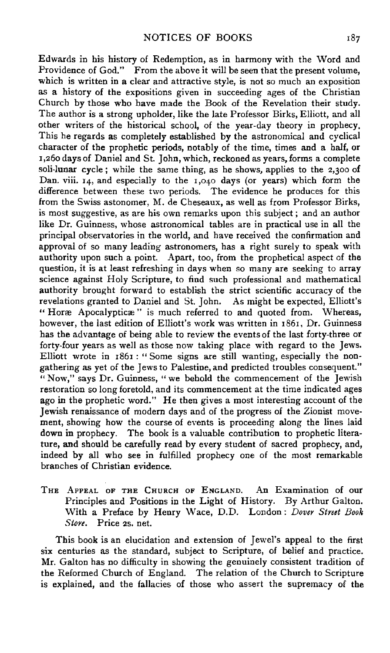Edwards in his history of Redemption, as in harmony with the Word and Providence of God." From the above it will be seen that the present volume, which is written in a clear and attractive style, is not so much an exposition as a history of the expositions given in succeeding ages of the Christian Church by those who have made the Book of the Revelation their study. The author is a strong upholder, like the late Professor Birks, Elliott, and all other writers of the historical school, of the year-day theory in prophecy. This he regards as completely established by the astronomical and cyclical character of the prophetic periods, notably of the time, times and a half, or r,26o days of Daniel and St. John, which, reckoned as years, forms a complete soli-lunar cycle; while the same thing, as he shows, applies to the 2,300 of Dan. viii. 14, and especially to the 1,040 days (or years) which form the difference between these two periods. The evidence he produces for this from the Swiss astonomer, M. de Cheseaux, as well as from Professor Birks, is most suggestive, as are his own remarks upon this subject ; and an author like Dr. Guinness, whose astronomical tables are in practical use in all the principal observatories in the world, and have received the confirmation and approval of so many leading astronomers, has a right surely to speak with authority upon such a point. Apart, too, from the prophetical aspect of the question, it is at least refreshing in days when so many are seeking to array science against Holy Scripture, to find such professional and mathematical authority brought forward to establish the strict scientific accuracy of the revelations granted to Daniel and St. John. As might be expected, Elliott's " Horæ Apocalypticæ" is much referred to and quoted from. Whereas, however, the last edition of Elliott's work was written in 1861, Dr. Guinness bas the advantage of being able to review the events of the last forty-three or forty-four years as well as those now taking place with regard to the Jews. Elliott wrote in 1861: "Some signs are still wanting, especially the nongathering as yet of the Jews to Palestine, and predicted troubles consequent." "Now," says Dr. Guinness, "we behold the commencement of the Jewish restoration so long foretold, and its commencement at the time indicated ages ago in the prophetic word." He then gives a most interesting account of the Jewish renaissance of modern days and of the progress of the Zionist movement, showing how the course of events is proceeding along the lines laid down in prophecy. The book is a valuable contribution to prophetic literature, and should be carefully read by every student of sacred prophecy, and, indeed by all who see in fulfilled prophecy one of the most remarkable branches of Christian evidence.

THE APPEAL oF THE CHURCH OF ENGLAND. An Examination of our Principles and Positions in the Light of History. By Arthur Galton. With a Preface by Henry Wace, D.D. London: *Dover Street Book Store.* Price 2s. net.

This book is an elucidation and extension of Jewel's appeal to the first six centuries as the standard, subject to Scripture, of belief and practice. Mr. Galton has no difficulty in showing the genuinely consistent tradition of the Reformed Church of England. The relation of the Church to Scripture is explained, and the fallacies of those who assert the supremacy of the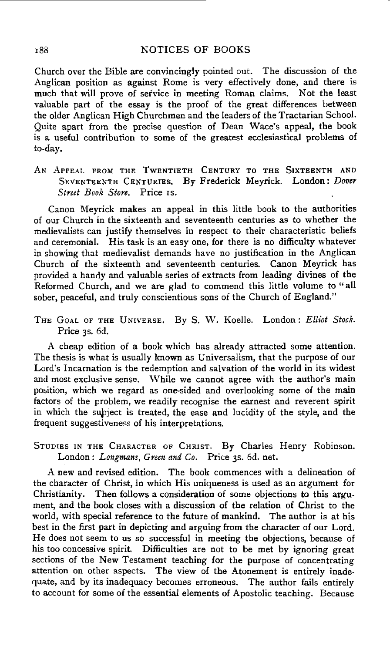### 188 NOTICES OF BOOKS

Church over the Bible are convincingly pointed out. The discussion of the Anglican position as against Rome is very effectively done, and there is much that will prove of service in meeting Roman claims. Not the least valuable part of the essay is the proof of the great differences between the older Anglican High Churchmen and the leaders of the Tractarian School. Quite apart from the precise question of Dean Wace's appeal, the book is a useful contribution to some of the greatest ecclesiastical problems of to-day.

AN APPEAL FROM THE TWENTIETH CENTURY TO THE SIXTEENTH AND SEVENTEENTH CENTURIES. By Frederick Meyrick. London: *Dover Street Book Store.* Price IS.

Canon Meyrick makes an appeal in this little book to the authorities of our Church in the sixteenth and seventeenth centuries as to whether the medievalists can justify themselves in respect to their characteristic beliefs and ceremonial. His task is an easy one, for there is no difficulty whatever in showing that medievalist demands have no justification in the Anglican Church of the sixteenth and seventeenth centuries. Canon Meyrick has provided a bandy and valuable series of extracts from leading divines of the Reformed Church, and we are glad to commend this little volume to "all sober, peaceful, and truly conscientious sons of the Church of England."

THE GoAL OF THE UNIVERSE. By S. W. Koelle. London: Elliot *Stock.*  Price 3s. 6d.

A cheap edition of a book which has already attracted some attention. The thesis is what is usually known as Universalism, that the purpose of our Lord's Incarnation is the redemption and salvation of the world in its widest and most exclusive sense. While we cannot agree with the author's main position, which we regard as one-sided and overlooking some of the main factors of the problem, we readily recognise the earnest and reverent spirit in which the subject is treated, the ease and lucidity of the style, and the frequent suggestiveness of his interpretations.

STUDIES IN THE CHARACTER OF CHRIST. By Charles Henry Robinson. London: Longmans, Green and Co. Price 3s. 6d. net.

A new and revised edition. The book commences with a delineation of the character of Christ, in which His uniqueness is used as an argument for Christianity. Then follows a consideration of some objections to this argument, and the book closes with a discussion of the relation of Christ to the world, with special reference to the future of mankind. The author is at his best in the first part in depicting and arguing from the character of our Lord. He does not seem to us so successful in meeting the objections, because of his too concessive spirit. Difficulties are not to be met by ignoring great sections of the New Testament teaching for the purpose of concentrating attention on other aspects. The view of the Atonement is entirely inadequate, and by its inadequacy becomes erroneous. The author fails entirely to account for some of the essential elements of Apostolic teaching. Because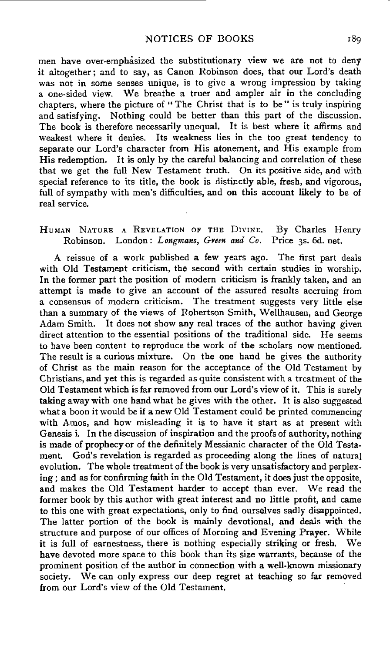men have over-emphasized the substitutionary view we are not to deny it altogether; and to say, as Canon Robinson does, that our Lord's death was not in some senses unique, is to give a wrong impression by taking a one-sided view. We breathe a truer and ampler air in the concluding chapters, where the picture of "The Christ that is to be" is truly inspiring and satisfying. Nothing could be better than this part of the discussion. The book is therefore necessarily unequal. It is best where it affirms and weakest where it denies. Its weakness lies in the too great tendency to separate our Lord's character from His atonement, and His example from His redemption. It is only by the careful balancing and correlation of these that we get the full New Testament truth. On its positive side, and with special reference to its title, the book is distinctly able, fresh, and vigorous, full of sympathy with men's difficulties, and on this account likely to be of real service.

#### HUMAN NATURE A REVELATION OF THE DIVINE. Robinson. London : *Longmans, GYeen and Co.*  Price 3s. 6d. net. By Charles Henry

A reissue of a work published a few years ago. The first part deals with Old Testament criticism, the second with certain studies in worship. In the former part the position of modern criticism is frankly taken, and an attempt is made to give an account of the assured results accruing from a consensus of modern criticism. The treatment suggests very little else than a summary of the views of Robertson Smith, Wellhausen, and George Adam Smith. It does not show any real traces of the author having given direct attention to the essential positions of the traditional side. He seems to have been content to reproduce the work of the scholars now mentioned. The result is a curious mixture. On the one hand he gives the authority of Christ as the main reason for the acceptance of' the Old Testament by Christians, and yet this is regarded as quite consistent with a treatment of the Old Testament which is far removed from our Lord's view of it. This is surely taking away with one hand what he gives with the other. It is also suggested what a boon it would be if a new Old Testament could be printed commencing with Amos, and how misleading it is to have it start as at present with Genesis i. In the discussion of inspiration and the proofs of authority, nothing is made of prophecy or of the definitely Messianic character of the Old Testament. God's revelation is regarded as proceeding along the lines of natura} evolution. The whole treatment of the book is very unsatisfactory and perplexing; and as for confirming faith in the Old Testament, it does just the opposite, and makes the Old Testament harder to accept than ever. We read the former book by this author with great interest and no little profit, and came to this one with great expectations, only to find ourselves sadly disappointed. The latter portion of the book is mainly devotional, and deals with the structure and purpose of our offices of Morning and Evening Prayer. While it is full of earnestness, there is nothing especially striking or fresh. We have devoted more space to this book than its size warrants, because of the prominent position of the author in connection with a well-known missionary society. We can only express our deep regret at teaching so far removed from our Lord's view of the Old Testament.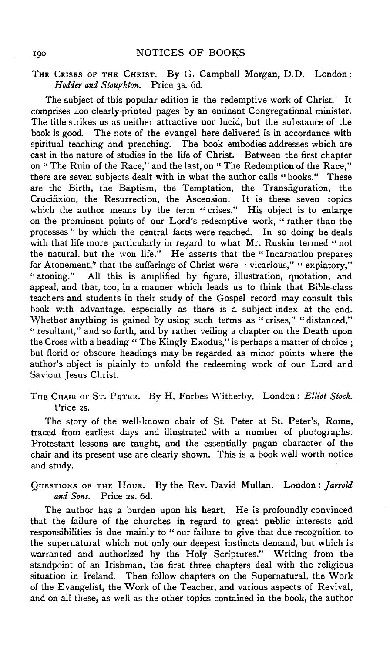## THE CRISES OF THE CHRIST. By G. Campbell Morgan, D.D. London: *Hodder and Stoughton.* Price 3s. 6d.

The subject of this popular edition is the redemptive work of Christ. It comprises 400 clearly-printed pages by an eminent Congregational minister. The title strikes us as neither attractive nor lucid, but the substance of the book is good. The note of the evangel here delivered is in accordance with spiritual teaching and preaching. The book embodies addresses which are cast in the nature of studies in the life of Christ. Between the first chapter on "The Ruin of the Race," and the last, on "The Redemption of the Race," there are seven subjects dealt with in what the author calls "books." These are the Birth, the Baptism, the Temptation, the Transfiguration, the Crucifixion, the Resurrection, the Ascension. It is these seven topics which the author means by the term "crises." His object is to enlarge on the prominent points of our Lord's redemptive work, " rather than the processes " by which the central facts were reached. In so doing he deals with that life more particularly in regard to what Mr. Ruskin termed "not the natural, but the won life." He asserts that the "Incarnation prepares for Atonement," that the sufferings of Christ were 'vicarious," "expiatory," "atoning." All this is amplified by figure, illustration, quotation, and appeal, and that, too, in a manner which leads us to think that Bible-class teachers and students in their study of the Gospel record may consult this book with advantage, especially as there is a subject-index at the end. Whether anything is gained by using such terms as "crises," "distanced," " resultant," and so forth, and by rather veiling a chapter on the Death upon the Cross with a heading "The Kingly Exodus," is perhaps a matter of choice; but florid or obscure headings may be regarded as minor points where the author's object is plainly to unfold the redeeming work of our Lord and Saviour Jesus Christ.

THE CHAIR oF ST. PETER. By H. Forbes \Vitherby. London: *Elliot Stock.*  Price 2s.

The story of the well-known chair of St. Peter at St. Peter's, Rome, traced from earliest days and illustrated with a number of photographs. Protestant lessons are taught, and the essentially pagan character of the chair and its present use are clearly shown. This is a book well worth notice and study.

QuESTIONS oF THE HouR. By the Rev. David Mullan. London: *]arrold and Sons.* Price 2s. 6d.

The author has a burden upon his heart. He is profoundly convinced that the failure of the churches in regard to great public interests and responsibilities is due mainly to "our failure to give that due recognition to the supernatural which not only our deepest instincts demand, but which is warranted and authorized by the Holy Scriptures." Writing from the standpoint of an Irishman, the first three\_ chapters deal with the religious situation in Ireland. Then follow chapters on the Supernatural, the Work of the Evangelist, the Work of the Teacher, and various aspects of Revival, and on all these, as well as the other topics contained in the book, the author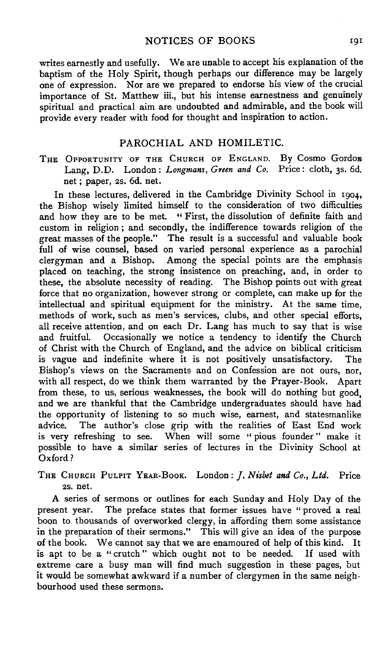writes earnestly and usefully. We are unable to accept his explanation of the baptism of the Holy Spirit, though perhaps our difference may be largely one of expression. Nor are we prepared to endorse his view of the crucial importance of St. Matthew iii., but his intense earnestness and genuinely spiritual and practical aim are undoubted and admirable, and the book will provide every reader with food for thought and inspiration to action.

### PAROCHIAL AND HOMILETIC.

THE OPPORTUNITY OF THE CHURCH OF ENGLAND. By Cosmo Gordon Lang, D.D. London: *Longmans, Green and Co.* Price: cloth, 3s. 6d. net ; paper, 2s. 6d. net.

In these lectures, delivered in the Cambridge Divinity School in 1904, the Bishop wisely limited himself to the consideration of two difficulties and how they are to be met. " First, the dissolution of definite faith and custom in religion; and secondly, the indifference towards religion of the great masses of the people." The result is a successful and valuable book full of wise counsel, based on varied personal experience as a parochial clergyman and a Bishop. Among the special points are the emphasis placed on teaching, the strong insistence on preaching, and, in order to these, the absolute necessity of reading. The Bishop points out with great force that no organization, however strong or complete, can make up for the intellectual and spiritual equipment for the ministry. At the same time, methods of work, such as men's services, clubs, and other special efforts, all receive attention, and on each Dr. Lang has much to say that is wise and fruitful. Occasionally we notice a tendency to identify the Church of Christ with the Church of England, and the advice on biblical criticism is vague and indefinite where it is not positively unsatisfactory. The Bishop's views on the Sacraments and on Confession are not ours, nor, with all respect, do we think them warranted by the Prayer-Book. Apart from these, to us, serious weaknesses, the book will do nothing but good, and we are thankful that the Cambridge undergraduates should have had the opportunity of listening to so much wise, earnest, and statesmanlike advice. The author's close grip with the realities of East End work is very refreshing to see. When will some " pious founder " make it possible to have a similar series of lectures in the Divinity School at Oxford?

THE CHURCH PuLPIT YEAR-BooK. London: *]. Nisbet and Co., Ltd.* Price 2s. net.

A series of sermons or outlines for each Sunday and Holy Day of the present year. The preface states that former issues have "proved a real boon to thousands of overworked clergy, in affording them some assistance in the preparation of their sermons." This will give an idea of the purpose of the book. We cannot say that we are enamoured of help of this kind. It is apt to be a "crutch" which ought not to be needed. If used with extreme care a busy man will find much suggestion in these pages, but it would be somewhat awkward if a number of clergymen in the same neighbourhood used these sermons.